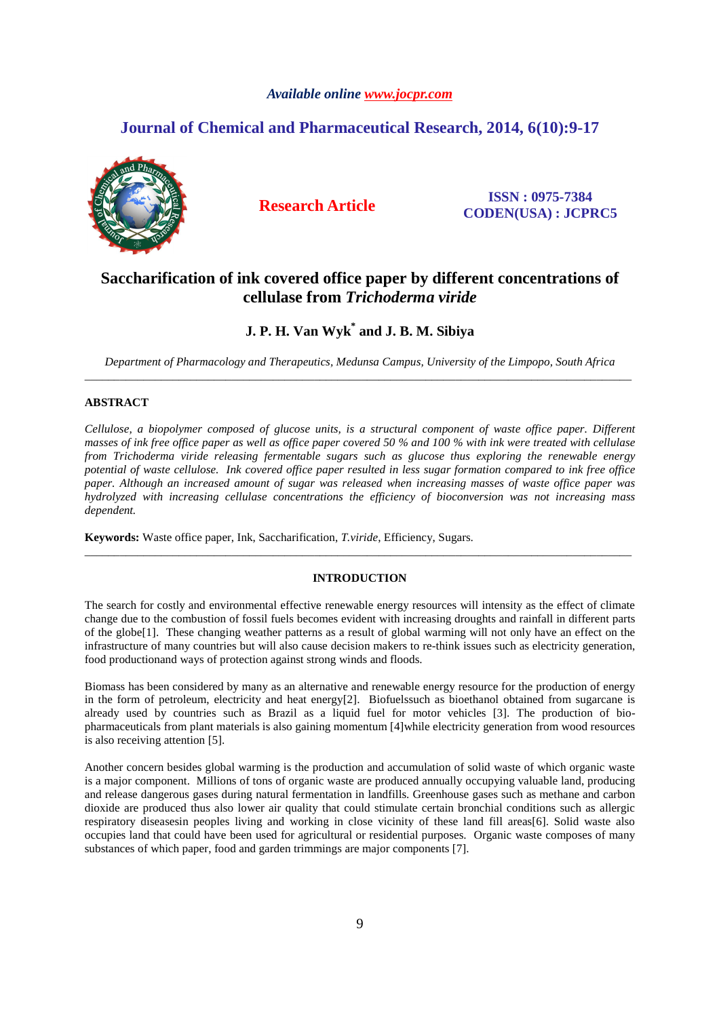# *Available online www.jocpr.com*

# **Journal of Chemical and Pharmaceutical Research, 2014, 6(10):9-17**



**Research Article ISSN : 0975-7384 CODEN(USA) : JCPRC5**

# **Saccharification of ink covered office paper by different concentrations of cellulase from** *Trichoderma viride*

# **J. P. H. Van Wyk\* and J. B. M. Sibiya**

*Department of Pharmacology and Therapeutics, Medunsa Campus, University of the Limpopo, South Africa*  \_\_\_\_\_\_\_\_\_\_\_\_\_\_\_\_\_\_\_\_\_\_\_\_\_\_\_\_\_\_\_\_\_\_\_\_\_\_\_\_\_\_\_\_\_\_\_\_\_\_\_\_\_\_\_\_\_\_\_\_\_\_\_\_\_\_\_\_\_\_\_\_\_\_\_\_\_\_\_\_\_\_\_\_\_\_\_\_\_\_\_\_\_

## **ABSTRACT**

*Cellulose, a biopolymer composed of glucose units, is a structural component of waste office paper. Different masses of ink free office paper as well as office paper covered 50 % and 100 % with ink were treated with cellulase from Trichoderma viride releasing fermentable sugars such as glucose thus exploring the renewable energy potential of waste cellulose. Ink covered office paper resulted in less sugar formation compared to ink free office paper. Although an increased amount of sugar was released when increasing masses of waste office paper was hydrolyzed with increasing cellulase concentrations the efficiency of bioconversion was not increasing mass dependent.* 

**Keywords:** Waste office paper, Ink, Saccharification, *T.viride*, Efficiency, Sugars.

## **INTRODUCTION**

\_\_\_\_\_\_\_\_\_\_\_\_\_\_\_\_\_\_\_\_\_\_\_\_\_\_\_\_\_\_\_\_\_\_\_\_\_\_\_\_\_\_\_\_\_\_\_\_\_\_\_\_\_\_\_\_\_\_\_\_\_\_\_\_\_\_\_\_\_\_\_\_\_\_\_\_\_\_\_\_\_\_\_\_\_\_\_\_\_\_\_\_\_

The search for costly and environmental effective renewable energy resources will intensity as the effect of climate change due to the combustion of fossil fuels becomes evident with increasing droughts and rainfall in different parts of the globe[1]. These changing weather patterns as a result of global warming will not only have an effect on the infrastructure of many countries but will also cause decision makers to re-think issues such as electricity generation, food productionand ways of protection against strong winds and floods.

Biomass has been considered by many as an alternative and renewable energy resource for the production of energy in the form of petroleum, electricity and heat energy[2]. Biofuelssuch as bioethanol obtained from sugarcane is already used by countries such as Brazil as a liquid fuel for motor vehicles [3]. The production of biopharmaceuticals from plant materials is also gaining momentum [4]while electricity generation from wood resources is also receiving attention [5].

Another concern besides global warming is the production and accumulation of solid waste of which organic waste is a major component. Millions of tons of organic waste are produced annually occupying valuable land, producing and release dangerous gases during natural fermentation in landfills. Greenhouse gases such as methane and carbon dioxide are produced thus also lower air quality that could stimulate certain bronchial conditions such as allergic respiratory diseasesin peoples living and working in close vicinity of these land fill areas[6]. Solid waste also occupies land that could have been used for agricultural or residential purposes. Organic waste composes of many substances of which paper, food and garden trimmings are major components [7].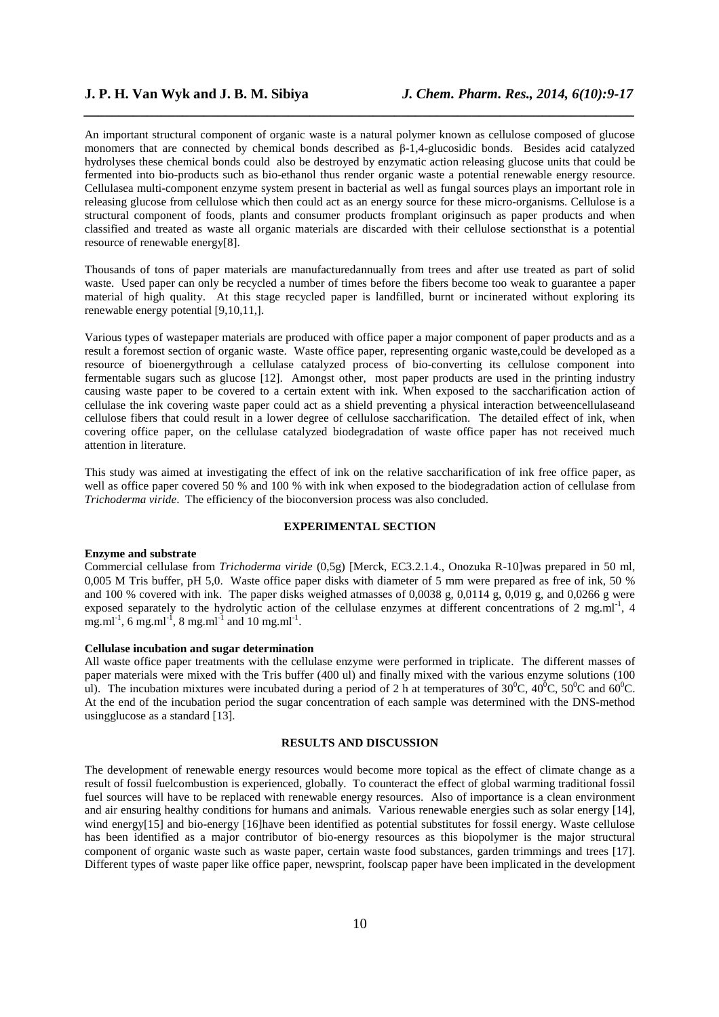An important structural component of organic waste is a natural polymer known as cellulose composed of glucose monomers that are connected by chemical bonds described as β-1,4-glucosidic bonds. Besides acid catalyzed hydrolyses these chemical bonds could also be destroyed by enzymatic action releasing glucose units that could be fermented into bio-products such as bio-ethanol thus render organic waste a potential renewable energy resource. Cellulasea multi-component enzyme system present in bacterial as well as fungal sources plays an important role in releasing glucose from cellulose which then could act as an energy source for these micro-organisms. Cellulose is a structural component of foods, plants and consumer products fromplant originsuch as paper products and when classified and treated as waste all organic materials are discarded with their cellulose sectionsthat is a potential resource of renewable energy[8].

*\_\_\_\_\_\_\_\_\_\_\_\_\_\_\_\_\_\_\_\_\_\_\_\_\_\_\_\_\_\_\_\_\_\_\_\_\_\_\_\_\_\_\_\_\_\_\_\_\_\_\_\_\_\_\_\_\_\_\_\_\_\_\_\_\_\_\_\_\_\_\_\_\_\_\_\_\_\_*

Thousands of tons of paper materials are manufacturedannually from trees and after use treated as part of solid waste. Used paper can only be recycled a number of times before the fibers become too weak to guarantee a paper material of high quality. At this stage recycled paper is landfilled, burnt or incinerated without exploring its renewable energy potential [9,10,11,].

Various types of wastepaper materials are produced with office paper a major component of paper products and as a result a foremost section of organic waste. Waste office paper, representing organic waste,could be developed as a resource of bioenergythrough a cellulase catalyzed process of bio-converting its cellulose component into fermentable sugars such as glucose [12]. Amongst other, most paper products are used in the printing industry causing waste paper to be covered to a certain extent with ink. When exposed to the saccharification action of cellulase the ink covering waste paper could act as a shield preventing a physical interaction betweencellulaseand cellulose fibers that could result in a lower degree of cellulose saccharification. The detailed effect of ink, when covering office paper, on the cellulase catalyzed biodegradation of waste office paper has not received much attention in literature.

This study was aimed at investigating the effect of ink on the relative saccharification of ink free office paper, as well as office paper covered 50 % and 100 % with ink when exposed to the biodegradation action of cellulase from *Trichoderma viride*. The efficiency of the bioconversion process was also concluded.

## **EXPERIMENTAL SECTION**

### **Enzyme and substrate**

Commercial cellulase from *Trichoderma viride* (0,5g) [Merck, EC3.2.1.4., Onozuka R-10]was prepared in 50 ml, 0,005 M Tris buffer, pH 5,0. Waste office paper disks with diameter of 5 mm were prepared as free of ink, 50 % and 100 % covered with ink. The paper disks weighed atmasses of 0,0038 g, 0,0114 g, 0,019 g, and 0,0266 g were exposed separately to the hydrolytic action of the cellulase enzymes at different concentrations of 2 mg.ml<sup>-1</sup>, 4 mg.ml<sup>-1</sup>, 6 mg.ml<sup>-1</sup>, 8 mg.ml<sup>-1</sup> and 10 mg.ml<sup>-1</sup>.

### **Cellulase incubation and sugar determination**

All waste office paper treatments with the cellulase enzyme were performed in triplicate. The different masses of paper materials were mixed with the Tris buffer (400 ul) and finally mixed with the various enzyme solutions (100 ul). The incubation mixtures were incubated during a period of 2 h at temperatures of  $30^{\circ}$ C,  $40^{\circ}$ C,  $50^{\circ}$ C and  $60^{\circ}$ C. At the end of the incubation period the sugar concentration of each sample was determined with the DNS-method usingglucose as a standard [13].

#### **RESULTS AND DISCUSSION**

The development of renewable energy resources would become more topical as the effect of climate change as a result of fossil fuelcombustion is experienced, globally. To counteract the effect of global warming traditional fossil fuel sources will have to be replaced with renewable energy resources. Also of importance is a clean environment and air ensuring healthy conditions for humans and animals. Various renewable energies such as solar energy [14], wind energy[15] and bio-energy [16]have been identified as potential substitutes for fossil energy. Waste cellulose has been identified as a major contributor of bio-energy resources as this biopolymer is the major structural component of organic waste such as waste paper, certain waste food substances, garden trimmings and trees [17]. Different types of waste paper like office paper, newsprint, foolscap paper have been implicated in the development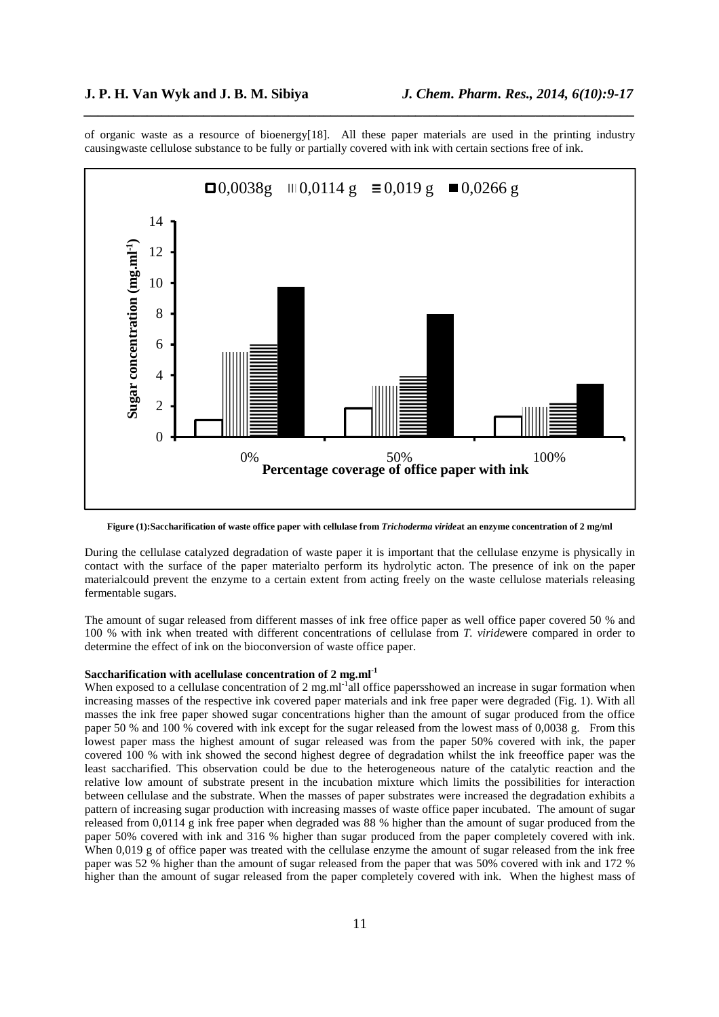of organic waste as a resource of bioenergy[18]. All these paper materials are used in the printing industry causingwaste cellulose substance to be fully or partially covered with ink with certain sections free of ink.

*\_\_\_\_\_\_\_\_\_\_\_\_\_\_\_\_\_\_\_\_\_\_\_\_\_\_\_\_\_\_\_\_\_\_\_\_\_\_\_\_\_\_\_\_\_\_\_\_\_\_\_\_\_\_\_\_\_\_\_\_\_\_\_\_\_\_\_\_\_\_\_\_\_\_\_\_\_\_*



**Figure (1):Saccharification of waste office paper with cellulase from** *Trichoderma viride***at an enzyme concentration of 2 mg/ml** 

During the cellulase catalyzed degradation of waste paper it is important that the cellulase enzyme is physically in contact with the surface of the paper materialto perform its hydrolytic acton. The presence of ink on the paper materialcould prevent the enzyme to a certain extent from acting freely on the waste cellulose materials releasing fermentable sugars.

The amount of sugar released from different masses of ink free office paper as well office paper covered 50 % and 100 % with ink when treated with different concentrations of cellulase from *T. viride*were compared in order to determine the effect of ink on the bioconversion of waste office paper.

# **Saccharification with acellulase concentration of 2 mg.ml-1**

When exposed to a cellulase concentration of 2 mg.ml<sup>-1</sup>all office papersshowed an increase in sugar formation when increasing masses of the respective ink covered paper materials and ink free paper were degraded (Fig. 1). With all masses the ink free paper showed sugar concentrations higher than the amount of sugar produced from the office paper 50 % and 100 % covered with ink except for the sugar released from the lowest mass of 0,0038 g. From this lowest paper mass the highest amount of sugar released was from the paper 50% covered with ink, the paper covered 100 % with ink showed the second highest degree of degradation whilst the ink freeoffice paper was the least saccharified. This observation could be due to the heterogeneous nature of the catalytic reaction and the relative low amount of substrate present in the incubation mixture which limits the possibilities for interaction between cellulase and the substrate. When the masses of paper substrates were increased the degradation exhibits a pattern of increasing sugar production with increasing masses of waste office paper incubated. The amount of sugar released from 0,0114 g ink free paper when degraded was 88 % higher than the amount of sugar produced from the paper 50% covered with ink and 316 % higher than sugar produced from the paper completely covered with ink. When 0,019 g of office paper was treated with the cellulase enzyme the amount of sugar released from the ink free paper was 52 % higher than the amount of sugar released from the paper that was 50% covered with ink and 172 % higher than the amount of sugar released from the paper completely covered with ink. When the highest mass of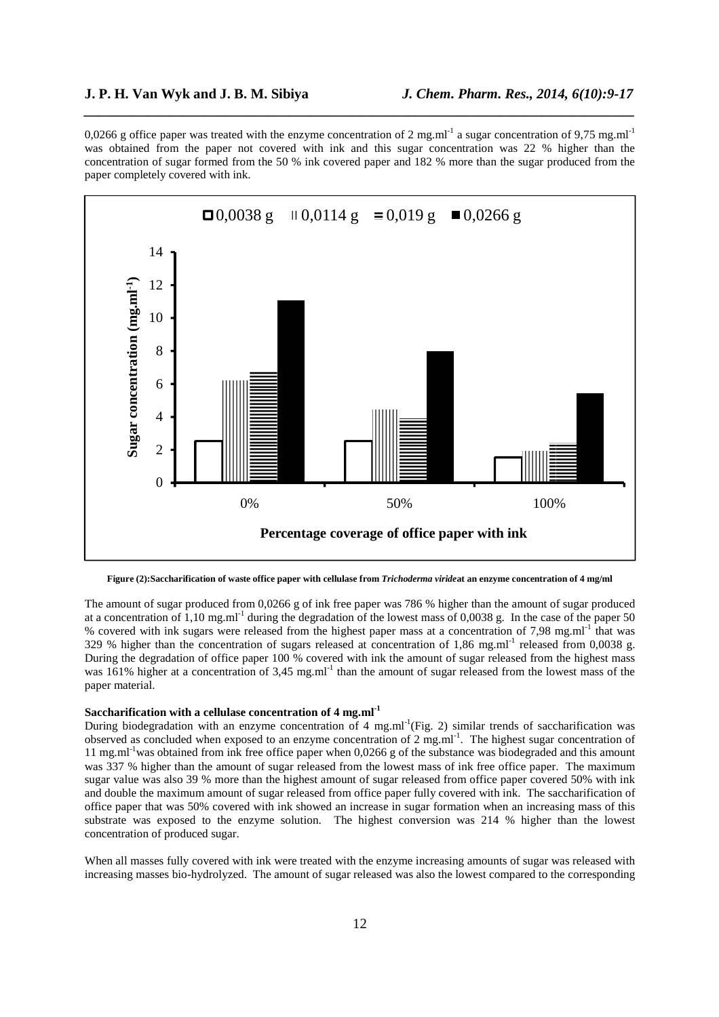0,0266 g office paper was treated with the enzyme concentration of 2 mg.ml<sup>-1</sup> a sugar concentration of 9,75 mg.ml<sup>-1</sup> was obtained from the paper not covered with ink and this sugar concentration was 22 % higher than the concentration of sugar formed from the 50 % ink covered paper and 182 % more than the sugar produced from the paper completely covered with ink.

*\_\_\_\_\_\_\_\_\_\_\_\_\_\_\_\_\_\_\_\_\_\_\_\_\_\_\_\_\_\_\_\_\_\_\_\_\_\_\_\_\_\_\_\_\_\_\_\_\_\_\_\_\_\_\_\_\_\_\_\_\_\_\_\_\_\_\_\_\_\_\_\_\_\_\_\_\_\_*



**Figure (2):Saccharification of waste office paper with cellulase from** *Trichoderma viride***at an enzyme concentration of 4 mg/ml** 

The amount of sugar produced from 0,0266 g of ink free paper was 786 % higher than the amount of sugar produced at a concentration of 1,10 mg.ml<sup>-1</sup> during the degradation of the lowest mass of 0,0038 g. In the case of the paper 50 % covered with ink sugars were released from the highest paper mass at a concentration of 7.98 mg.ml<sup>-1</sup> that was 329 % higher than the concentration of sugars released at concentration of 1,86 mg.ml<sup>-1</sup> released from 0,0038 g. During the degradation of office paper 100 % covered with ink the amount of sugar released from the highest mass was 161% higher at a concentration of 3,45 mg.ml<sup>-1</sup> than the amount of sugar released from the lowest mass of the paper material.

## **Saccharification with a cellulase concentration of 4 mg.ml-1**

During biodegradation with an enzyme concentration of 4 mg.ml<sup>-1</sup>(Fig. 2) similar trends of saccharification was observed as concluded when exposed to an enzyme concentration of 2 mg.ml-1. The highest sugar concentration of 11 mg.ml<sup>-1</sup>was obtained from ink free office paper when 0,0266 g of the substance was biodegraded and this amount was 337 % higher than the amount of sugar released from the lowest mass of ink free office paper. The maximum sugar value was also 39 % more than the highest amount of sugar released from office paper covered 50% with ink and double the maximum amount of sugar released from office paper fully covered with ink. The saccharification of office paper that was 50% covered with ink showed an increase in sugar formation when an increasing mass of this substrate was exposed to the enzyme solution. The highest conversion was 214 % higher than the lowest concentration of produced sugar.

When all masses fully covered with ink were treated with the enzyme increasing amounts of sugar was released with increasing masses bio-hydrolyzed. The amount of sugar released was also the lowest compared to the corresponding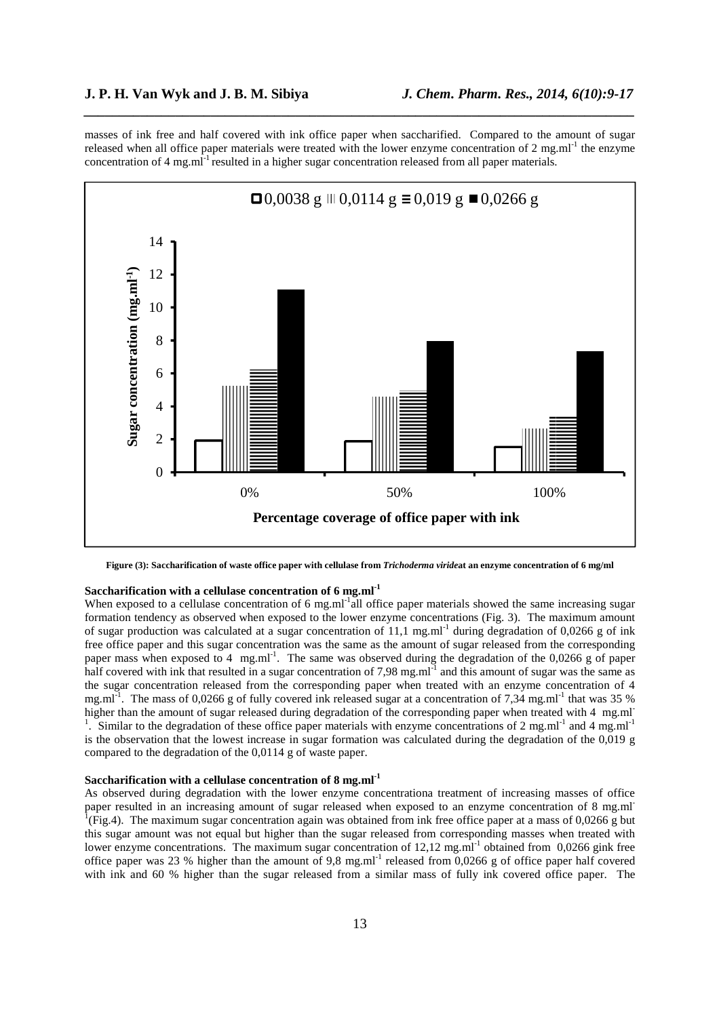masses of ink free and half covered with ink office paper when saccharified. Compared to the amount of sugar released when all office paper materials were treated with the lower enzyme concentration of 2 mg.ml<sup>-1</sup> the enzyme concentration of 4 mg.ml<sup>-1</sup> resulted in a higher sugar concentration released from all paper materials.

*\_\_\_\_\_\_\_\_\_\_\_\_\_\_\_\_\_\_\_\_\_\_\_\_\_\_\_\_\_\_\_\_\_\_\_\_\_\_\_\_\_\_\_\_\_\_\_\_\_\_\_\_\_\_\_\_\_\_\_\_\_\_\_\_\_\_\_\_\_\_\_\_\_\_\_\_\_\_*



**Figure (3): Saccharification of waste office paper with cellulase from** *Trichoderma viride***at an enzyme concentration of 6 mg/ml** 

### **Saccharification with a cellulase concentration of 6 mg.ml-1**

When exposed to a cellulase concentration of 6 mg.ml<sup>-1</sup>all office paper materials showed the same increasing sugar formation tendency as observed when exposed to the lower enzyme concentrations (Fig. 3). The maximum amount of sugar production was calculated at a sugar concentration of 11,1 mg.ml<sup>-1</sup> during degradation of 0,0266 g of ink free office paper and this sugar concentration was the same as the amount of sugar released from the corresponding paper mass when exposed to 4  $~\text{mg.m}^{-1}$ . The same was observed during the degradation of the 0,0266 g of paper half covered with ink that resulted in a sugar concentration of 7,98 mg.ml $^{-1}$  and this amount of sugar was the same as the sugar concentration released from the corresponding paper when treated with an enzyme concentration of 4 mg.ml<sup>-1</sup>. The mass of 0,0266 g of fully covered ink released sugar at a concentration of 7,34 mg.ml<sup>-1</sup> that was 35 % higher than the amount of sugar released during degradation of the corresponding paper when treated with 4 mg.ml<sup>-</sup> <sup>1</sup>. Similar to the degradation of these office paper materials with enzyme concentrations of 2 mg.ml<sup>-1</sup> and 4 mg.ml<sup>-1</sup> is the observation that the lowest increase in sugar formation was calculated during the degradation of the 0,019 g compared to the degradation of the 0,0114 g of waste paper.

## **Saccharification with a cellulase concentration of 8 mg.ml-1**

As observed during degradation with the lower enzyme concentrationa treatment of increasing masses of office paper resulted in an increasing amount of sugar released when exposed to an enzyme concentration of 8 mg.ml<sup>1</sup><br><sup>1</sup>(Fig.4). The maximum sugar concentration again was obtained from ink free office paper at a mass of 0,0266 g this sugar amount was not equal but higher than the sugar released from corresponding masses when treated with lower enzyme concentrations. The maximum sugar concentration of 12,12 mg.ml<sup>-1</sup> obtained from 0,0266 gink free office paper was 23 % higher than the amount of 9,8 mg.ml<sup>-1</sup> released from 0,0266 g of office paper half covered with ink and 60 % higher than the sugar released from a similar mass of fully ink covered office paper. The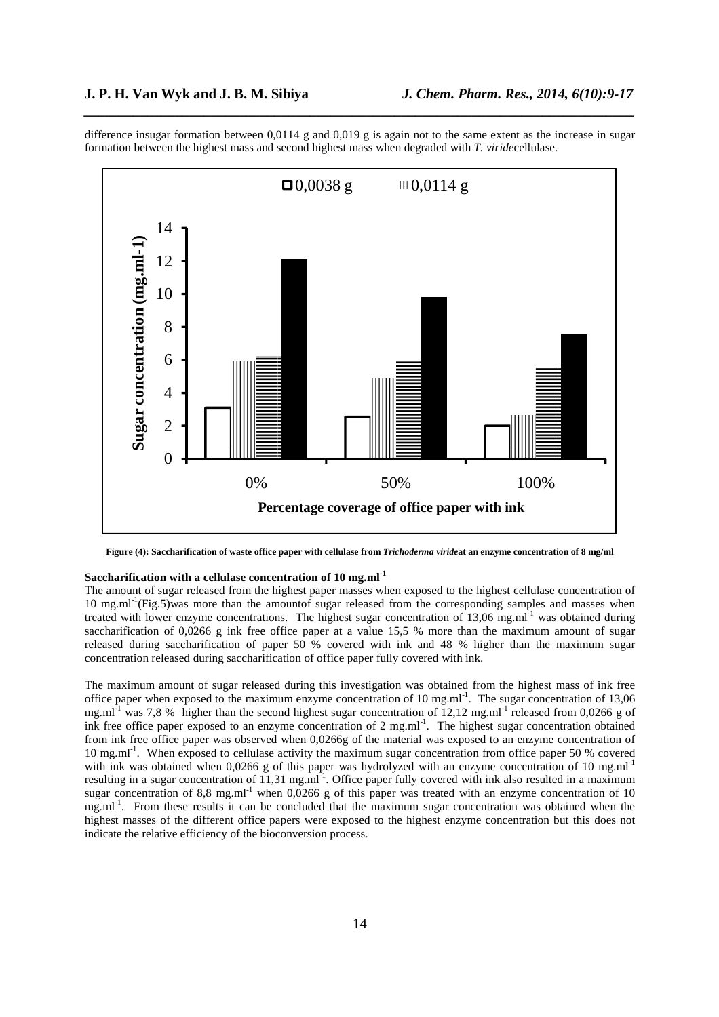difference insugar formation between 0,0114 g and 0,019 g is again not to the same extent as the increase in sugar formation between the highest mass and second highest mass when degraded with *T. viride*cellulase.

*\_\_\_\_\_\_\_\_\_\_\_\_\_\_\_\_\_\_\_\_\_\_\_\_\_\_\_\_\_\_\_\_\_\_\_\_\_\_\_\_\_\_\_\_\_\_\_\_\_\_\_\_\_\_\_\_\_\_\_\_\_\_\_\_\_\_\_\_\_\_\_\_\_\_\_\_\_\_*



**Figure (4): Saccharification of waste office paper with cellulase from** *Trichoderma viride***at an enzyme concentration of 8 mg/ml** 

# **Saccharification with a cellulase concentration of 10 mg.ml-1**

The amount of sugar released from the highest paper masses when exposed to the highest cellulase concentration of 10 mg.ml<sup>-1</sup>(Fig.5)was more than the amountof sugar released from the corresponding samples and masses when treated with lower enzyme concentrations. The highest sugar concentration of  $13,06$  mg.ml<sup>-1</sup> was obtained during saccharification of 0,0266 g ink free office paper at a value 15,5 % more than the maximum amount of sugar released during saccharification of paper 50 % covered with ink and 48 % higher than the maximum sugar concentration released during saccharification of office paper fully covered with ink.

The maximum amount of sugar released during this investigation was obtained from the highest mass of ink free office paper when exposed to the maximum enzyme concentration of 10 mg.ml<sup>-1</sup>. The sugar concentration of 13,06 mg.ml<sup>-1</sup> was 7,8 % higher than the second highest sugar concentration of 12,12 mg.ml<sup>-1</sup> released from 0,0266 g of ink free office paper exposed to an enzyme concentration of 2 mg.ml<sup>-1</sup>. The highest sugar concentration obtained from ink free office paper was observed when 0,0266g of the material was exposed to an enzyme concentration of 10 mg.ml<sup>-1</sup>. When exposed to cellulase activity the maximum sugar concentration from office paper 50 % covered with ink was obtained when 0,0266 g of this paper was hydrolyzed with an enzyme concentration of 10 mg.ml<sup>-1</sup> resulting in a sugar concentration of 11,31 mg.ml<sup>-1</sup>. Office paper fully covered with ink also resulted in a maximum sugar concentration of 8,8 mg.ml<sup>-1</sup> when 0,0266 g of this paper was treated with an enzyme concentration of 10 mg.ml<sup>-1</sup>. From these results it can be concluded that the maximum sugar concentration was obtained when the highest masses of the different office papers were exposed to the highest enzyme concentration but this does not indicate the relative efficiency of the bioconversion process.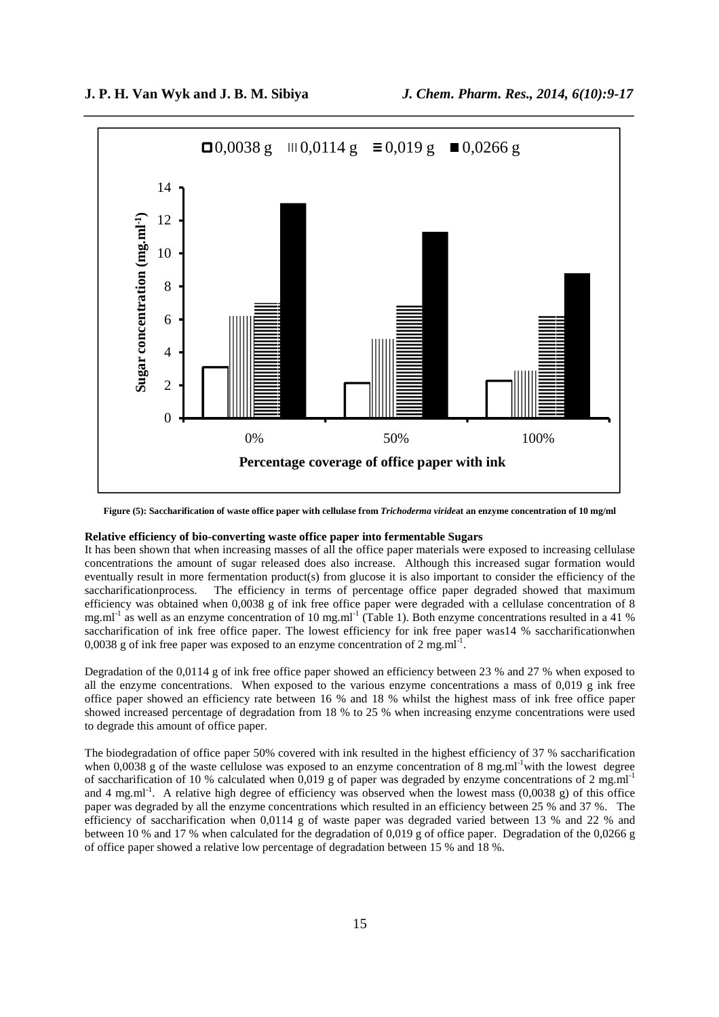

**Figure (5): Saccharification of waste office paper with cellulase from** *Trichoderma viride***at an enzyme concentration of 10 mg/ml** 

# **Relative efficiency of bio-converting waste office paper into fermentable Sugars**

It has been shown that when increasing masses of all the office paper materials were exposed to increasing cellulase concentrations the amount of sugar released does also increase. Although this increased sugar formation would eventually result in more fermentation product(s) from glucose it is also important to consider the efficiency of the saccharificationprocess. The efficiency in terms of percentage office paper degraded showed that maximum efficiency was obtained when 0,0038 g of ink free office paper were degraded with a cellulase concentration of 8 mg.ml<sup>-1</sup> as well as an enzyme concentration of 10 mg.ml<sup>-1</sup> (Table 1). Both enzyme concentrations resulted in a 41 % saccharification of ink free office paper. The lowest efficiency for ink free paper was14 % saccharificationwhen 0,0038 g of ink free paper was exposed to an enzyme concentration of 2 mg.ml<sup>-1</sup>.

Degradation of the 0,0114 g of ink free office paper showed an efficiency between 23 % and 27 % when exposed to all the enzyme concentrations. When exposed to the various enzyme concentrations a mass of 0,019 g ink free office paper showed an efficiency rate between 16 % and 18 % whilst the highest mass of ink free office paper showed increased percentage of degradation from 18 % to 25 % when increasing enzyme concentrations were used to degrade this amount of office paper.

The biodegradation of office paper 50% covered with ink resulted in the highest efficiency of 37 % saccharification when 0,0038 g of the waste cellulose was exposed to an enzyme concentration of 8 mg.ml<sup>-1</sup>with the lowest degree of saccharification of 10 % calculated when 0,019 g of paper was degraded by enzyme concentrations of 2 mg.ml-1 and 4 mg.ml<sup>-1</sup>. A relative high degree of efficiency was observed when the lowest mass  $(0.0038 \text{ g})$  of this office paper was degraded by all the enzyme concentrations which resulted in an efficiency between 25 % and 37 %. The efficiency of saccharification when 0,0114 g of waste paper was degraded varied between 13 % and 22 % and between 10 % and 17 % when calculated for the degradation of 0,019 g of office paper. Degradation of the 0,0266 g of office paper showed a relative low percentage of degradation between 15 % and 18 %.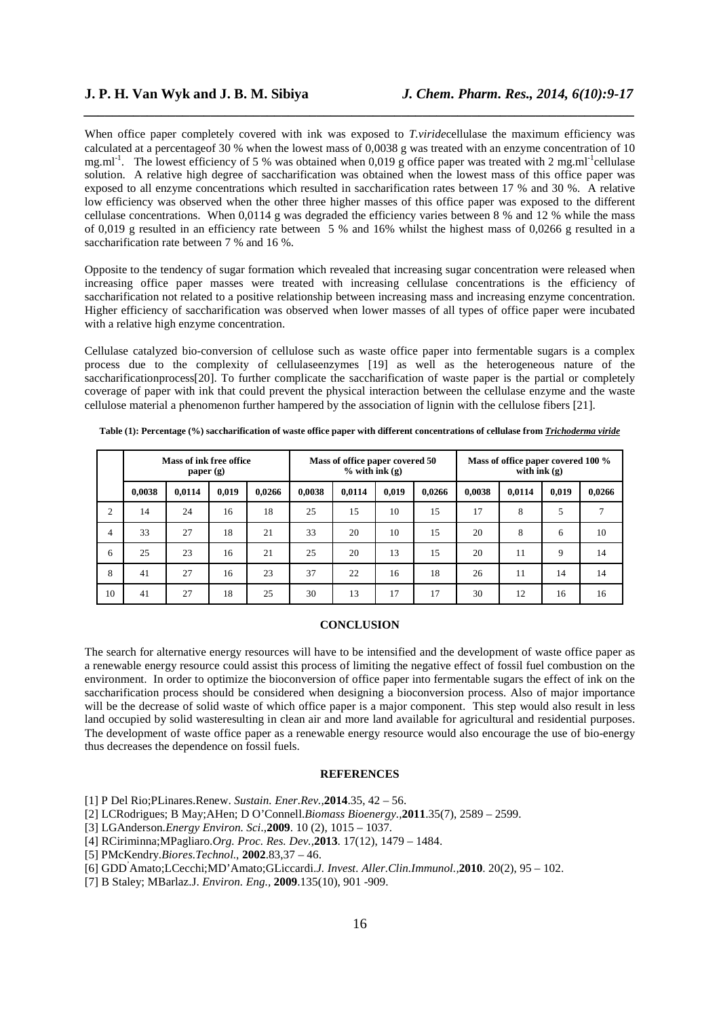When office paper completely covered with ink was exposed to *T.viridecellulase* the maximum efficiency was calculated at a percentageof 30 % when the lowest mass of 0,0038 g was treated with an enzyme concentration of 10 mg.ml<sup>-1</sup>. The lowest efficiency of 5 % was obtained when 0,019 g office paper was treated with 2 mg.ml<sup>-1</sup>cellulase solution. A relative high degree of saccharification was obtained when the lowest mass of this office paper was exposed to all enzyme concentrations which resulted in saccharification rates between 17 % and 30 %. A relative low efficiency was observed when the other three higher masses of this office paper was exposed to the different cellulase concentrations. When 0,0114 g was degraded the efficiency varies between 8 % and 12 % while the mass of 0,019 g resulted in an efficiency rate between 5 % and 16% whilst the highest mass of 0,0266 g resulted in a saccharification rate between 7 % and 16 %.

*\_\_\_\_\_\_\_\_\_\_\_\_\_\_\_\_\_\_\_\_\_\_\_\_\_\_\_\_\_\_\_\_\_\_\_\_\_\_\_\_\_\_\_\_\_\_\_\_\_\_\_\_\_\_\_\_\_\_\_\_\_\_\_\_\_\_\_\_\_\_\_\_\_\_\_\_\_\_*

Opposite to the tendency of sugar formation which revealed that increasing sugar concentration were released when increasing office paper masses were treated with increasing cellulase concentrations is the efficiency of saccharification not related to a positive relationship between increasing mass and increasing enzyme concentration. Higher efficiency of saccharification was observed when lower masses of all types of office paper were incubated with a relative high enzyme concentration.

Cellulase catalyzed bio-conversion of cellulose such as waste office paper into fermentable sugars is a complex process due to the complexity of cellulaseenzymes [19] as well as the heterogeneous nature of the saccharificationprocess[20]. To further complicate the saccharification of waste paper is the partial or completely coverage of paper with ink that could prevent the physical interaction between the cellulase enzyme and the waste cellulose material a phenomenon further hampered by the association of lignin with the cellulose fibers [21].

|                | <b>Mass of ink free office</b><br>paper $(g)$ |        |       |        | Mass of office paper covered 50<br>$%$ with ink $(g)$ |        |       |        | Mass of office paper covered 100 %<br>with $ink(g)$ |        |             |               |
|----------------|-----------------------------------------------|--------|-------|--------|-------------------------------------------------------|--------|-------|--------|-----------------------------------------------------|--------|-------------|---------------|
|                | 0,0038                                        | 0,0114 | 0,019 | 0,0266 | 0.0038                                                | 0,0114 | 0,019 | 0,0266 | 0.0038                                              | 0,0114 | 0,019       | 0,0266        |
| $\overline{2}$ | 14                                            | 24     | 16    | 18     | 25                                                    | 15     | 10    | 15     | 17                                                  | 8      | 5           | $\mathcal{I}$ |
| $\overline{4}$ | 33                                            | 27     | 18    | 21     | 33                                                    | 20     | 10    | 15     | 20                                                  | 8      | 6           | 10            |
| 6              | 25                                            | 23     | 16    | 21     | 25                                                    | 20     | 13    | 15     | 20                                                  | 11     | $\mathbf Q$ | 14            |
| 8              | 41                                            | 27     | 16    | 23     | 37                                                    | 22     | 16    | 18     | 26                                                  | 11     | 14          | 14            |
| 10             | 41                                            | 27     | 18    | 25     | 30                                                    | 13     | 17    | 17     | 30                                                  | 12     | 16          | 16            |

**Table (1): Percentage (%) saccharification of waste office paper with different concentrations of cellulase from** *Trichoderma viride*

#### **CONCLUSION**

The search for alternative energy resources will have to be intensified and the development of waste office paper as a renewable energy resource could assist this process of limiting the negative effect of fossil fuel combustion on the environment. In order to optimize the bioconversion of office paper into fermentable sugars the effect of ink on the saccharification process should be considered when designing a bioconversion process. Also of major importance will be the decrease of solid waste of which office paper is a major component. This step would also result in less land occupied by solid wasteresulting in clean air and more land available for agricultural and residential purposes. The development of waste office paper as a renewable energy resource would also encourage the use of bio-energy thus decreases the dependence on fossil fuels.

## **REFERENCES**

[1] P Del Rio;PLinares.Renew. *Sustain. Ener.Rev.,***2014**.35, 42 – 56.

- [2] LCRodrigues; B May;AHen; D O'Connell.*Biomass Bioenergy.,***2011**.35(7), 2589 2599.
- [3] LGAnderson.*Energy Environ. Sci.*,**2009**. 10 (2), 1015 1037.
- [4] RCiriminna;MPagliaro.*Org. Proc. Res. Dev.,***2013**. 17(12), 1479 1484.
- [5] PMcKendry.*Biores.Technol.*, **2002**.83,37 46.
- [6] GDD'Amato;LCecchi;MD'Amato;GLiccardi.*J. Invest. Aller.Clin.Immunol.,***2010**. 20(2), 95 102.
- [7] B Staley; MBarlaz.J. *Environ. Eng.,* **2009**.135(10), 901 -909.